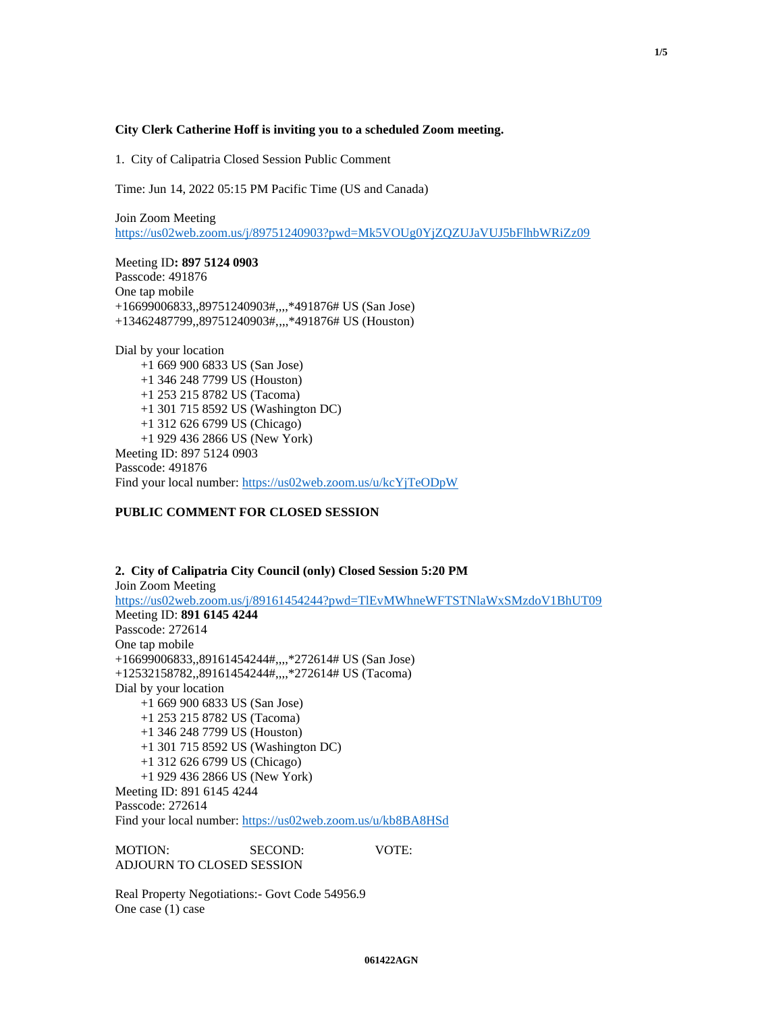#### **City Clerk Catherine Hoff is inviting you to a scheduled Zoom meeting.**

1. City of Calipatria Closed Session Public Comment

Time: Jun 14, 2022 05:15 PM Pacific Time (US and Canada)

Join Zoom Meeting

<https://us02web.zoom.us/j/89751240903?pwd=Mk5VOUg0YjZQZUJaVUJ5bFlhbWRiZz09>

Meeting ID**: 897 5124 0903** Passcode: 491876 One tap mobile +16699006833,,89751240903#,,,,\*491876# US (San Jose) +13462487799,,89751240903#,,,,\*491876# US (Houston)

Dial by your location +1 669 900 6833 US (San Jose) +1 346 248 7799 US (Houston) +1 253 215 8782 US (Tacoma) +1 301 715 8592 US (Washington DC) +1 312 626 6799 US (Chicago) +1 929 436 2866 US (New York) Meeting ID: 897 5124 0903 Passcode: 491876 Find your local number:<https://us02web.zoom.us/u/kcYjTeODpW>

# **PUBLIC COMMENT FOR CLOSED SESSION**

**2. City of Calipatria City Council (only) Closed Session 5:20 PM** Join Zoom Meeting <https://us02web.zoom.us/j/89161454244?pwd=TlEvMWhneWFTSTNlaWxSMzdoV1BhUT09> Meeting ID: **891 6145 4244** Passcode: 272614 One tap mobile +16699006833,,89161454244#,,,,\*272614# US (San Jose) +12532158782,,89161454244#,,,,\*272614# US (Tacoma) Dial by your location +1 669 900 6833 US (San Jose) +1 253 215 8782 US (Tacoma) +1 346 248 7799 US (Houston) +1 301 715 8592 US (Washington DC) +1 312 626 6799 US (Chicago) +1 929 436 2866 US (New York) Meeting ID: 891 6145 4244 Passcode: 272614 Find your local number:<https://us02web.zoom.us/u/kb8BA8HSd>

MOTION: SECOND: VOTE: ADJOURN TO CLOSED SESSION

Real Property Negotiations:- Govt Code 54956.9 One case (1) case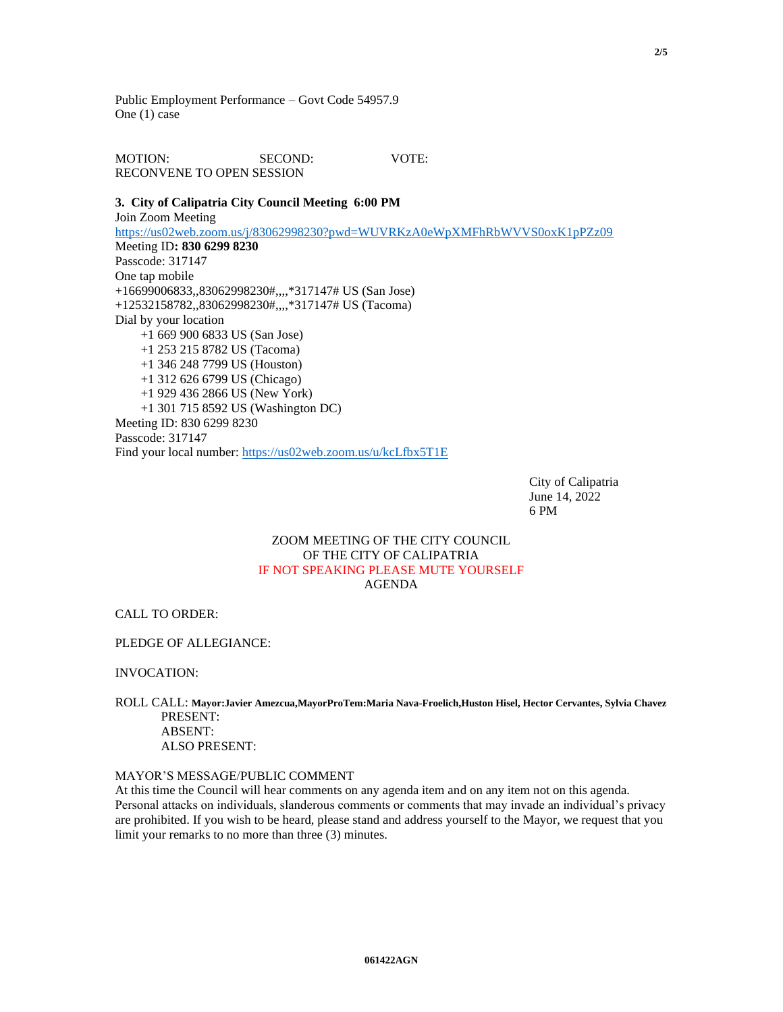Public Employment Performance – Govt Code 54957.9 One (1) case

MOTION: SECOND: VOTE: RECONVENE TO OPEN SESSION

**3. City of Calipatria City Council Meeting 6:00 PM** Join Zoom Meeting <https://us02web.zoom.us/j/83062998230?pwd=WUVRKzA0eWpXMFhRbWVVS0oxK1pPZz09> Meeting ID**: 830 6299 8230** Passcode: 317147 One tap mobile +16699006833,,83062998230#,,,,\*317147# US (San Jose) +12532158782,,83062998230#,,,,\*317147# US (Tacoma) Dial by your location +1 669 900 6833 US (San Jose) +1 253 215 8782 US (Tacoma) +1 346 248 7799 US (Houston) +1 312 626 6799 US (Chicago) +1 929 436 2866 US (New York) +1 301 715 8592 US (Washington DC) Meeting ID: 830 6299 8230 Passcode: 317147 Find your local number:<https://us02web.zoom.us/u/kcLfbx5T1E>

> City of Calipatria June 14, 2022 6 PM

# ZOOM MEETING OF THE CITY COUNCIL OF THE CITY OF CALIPATRIA IF NOT SPEAKING PLEASE MUTE YOURSELF AGENDA

CALL TO ORDER:

PLEDGE OF ALLEGIANCE:

INVOCATION:

ROLL CALL: **Mayor:Javier Amezcua,MayorProTem:Maria Nava-Froelich,Huston Hisel, Hector Cervantes, Sylvia Chavez** PRESENT: ABSENT: ALSO PRESENT:

#### MAYOR'S MESSAGE/PUBLIC COMMENT

At this time the Council will hear comments on any agenda item and on any item not on this agenda. Personal attacks on individuals, slanderous comments or comments that may invade an individual's privacy are prohibited. If you wish to be heard, please stand and address yourself to the Mayor, we request that you limit your remarks to no more than three (3) minutes.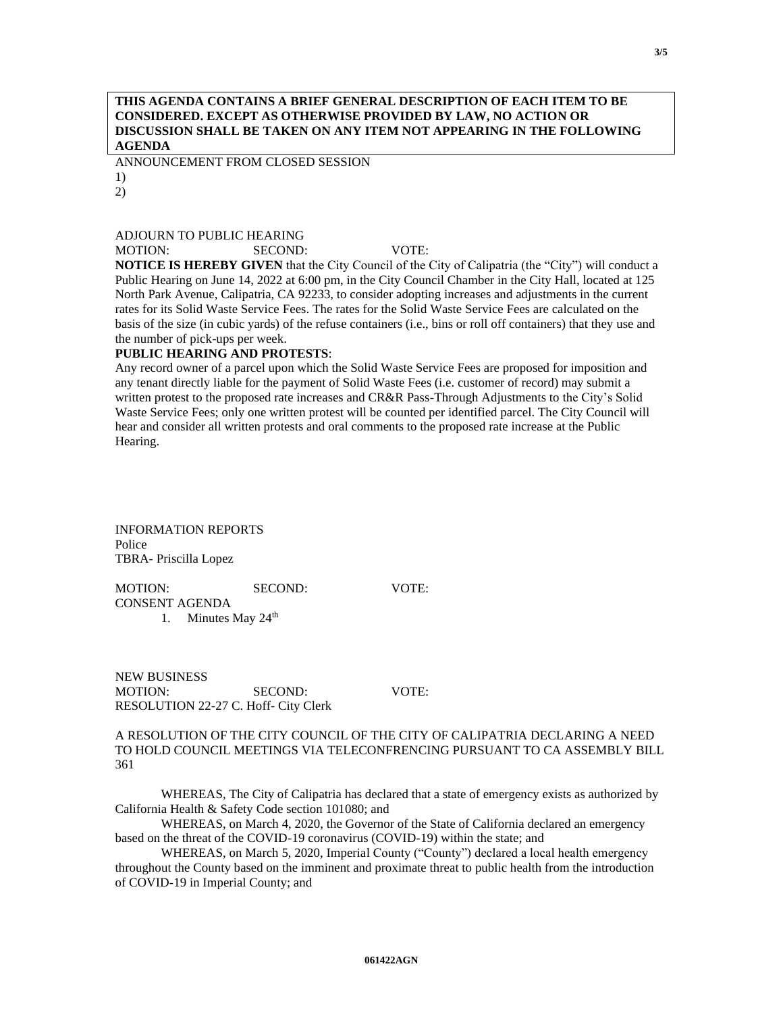# **THIS AGENDA CONTAINS A BRIEF GENERAL DESCRIPTION OF EACH ITEM TO BE CONSIDERED. EXCEPT AS OTHERWISE PROVIDED BY LAW, NO ACTION OR DISCUSSION SHALL BE TAKEN ON ANY ITEM NOT APPEARING IN THE FOLLOWING AGENDA**

ANNOUNCEMENT FROM CLOSED SESSION

1)

2)

### ADJOURN TO PUBLIC HEARING

MOTION: SECOND: VOTE:

**NOTICE IS HEREBY GIVEN** that the City Council of the City of Calipatria (the "City") will conduct a Public Hearing on June 14, 2022 at 6:00 pm, in the City Council Chamber in the City Hall, located at 125 North Park Avenue, Calipatria, CA 92233, to consider adopting increases and adjustments in the current rates for its Solid Waste Service Fees. The rates for the Solid Waste Service Fees are calculated on the basis of the size (in cubic yards) of the refuse containers (i.e., bins or roll off containers) that they use and the number of pick-ups per week.

# **PUBLIC HEARING AND PROTESTS**:

Any record owner of a parcel upon which the Solid Waste Service Fees are proposed for imposition and any tenant directly liable for the payment of Solid Waste Fees (i.e. customer of record) may submit a written protest to the proposed rate increases and CR&R Pass-Through Adjustments to the City's Solid Waste Service Fees; only one written protest will be counted per identified parcel. The City Council will hear and consider all written protests and oral comments to the proposed rate increase at the Public Hearing.

INFORMATION REPORTS Police TBRA- Priscilla Lopez

MOTION: SECOND: VOTE: CONSENT AGENDA 1. Minutes May  $24<sup>th</sup>$ 

NEW BUSINESS MOTION: SECOND: VOTE: RESOLUTION 22-27 C. Hoff- City Clerk

A RESOLUTION OF THE CITY COUNCIL OF THE CITY OF CALIPATRIA DECLARING A NEED TO HOLD COUNCIL MEETINGS VIA TELECONFRENCING PURSUANT TO CA ASSEMBLY BILL 361

WHEREAS, The City of Calipatria has declared that a state of emergency exists as authorized by California Health & Safety Code section 101080; and

WHEREAS, on March 4, 2020, the Governor of the State of California declared an emergency based on the threat of the COVID-19 coronavirus (COVID-19) within the state; and

WHEREAS, on March 5, 2020, Imperial County ("County") declared a local health emergency throughout the County based on the imminent and proximate threat to public health from the introduction of COVID-19 in Imperial County; and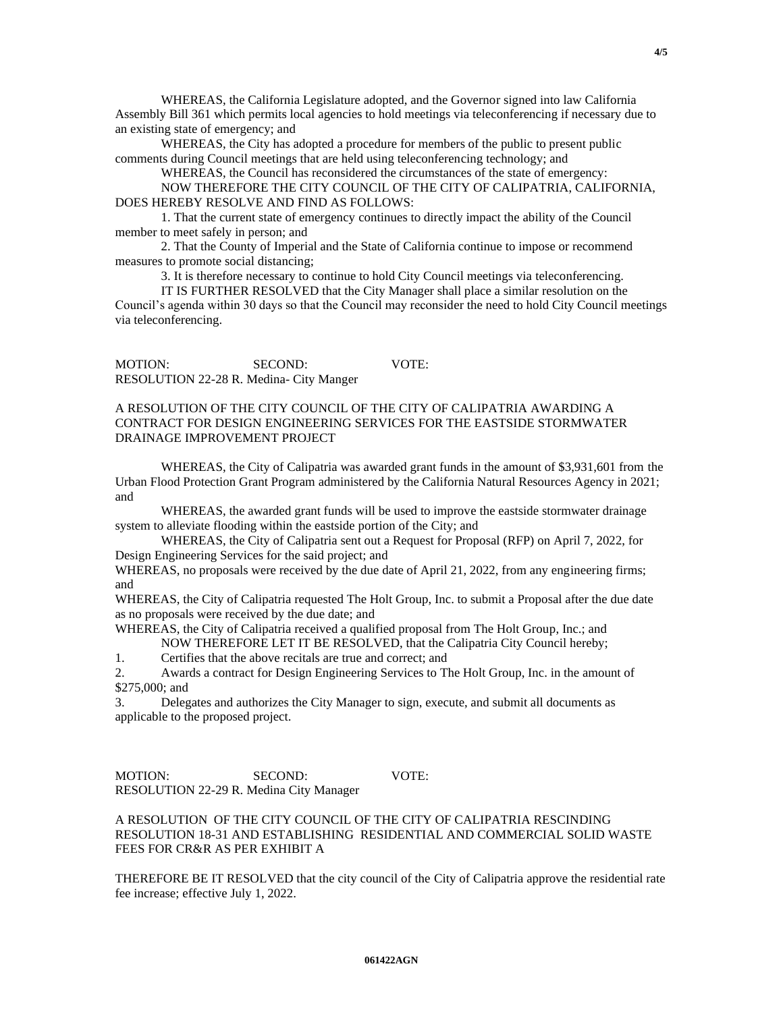WHEREAS, the California Legislature adopted, and the Governor signed into law California Assembly Bill 361 which permits local agencies to hold meetings via teleconferencing if necessary due to an existing state of emergency; and

WHEREAS, the City has adopted a procedure for members of the public to present public comments during Council meetings that are held using teleconferencing technology; and

WHEREAS, the Council has reconsidered the circumstances of the state of emergency:

NOW THEREFORE THE CITY COUNCIL OF THE CITY OF CALIPATRIA, CALIFORNIA, DOES HEREBY RESOLVE AND FIND AS FOLLOWS:

1. That the current state of emergency continues to directly impact the ability of the Council member to meet safely in person; and

2. That the County of Imperial and the State of California continue to impose or recommend measures to promote social distancing;

3. It is therefore necessary to continue to hold City Council meetings via teleconferencing.

IT IS FURTHER RESOLVED that the City Manager shall place a similar resolution on the Council's agenda within 30 days so that the Council may reconsider the need to hold City Council meetings via teleconferencing.

MOTION: SECOND: VOTE: RESOLUTION 22-28 R. Medina- City Manger

A RESOLUTION OF THE CITY COUNCIL OF THE CITY OF CALIPATRIA AWARDING A CONTRACT FOR DESIGN ENGINEERING SERVICES FOR THE EASTSIDE STORMWATER DRAINAGE IMPROVEMENT PROJECT

WHEREAS, the City of Calipatria was awarded grant funds in the amount of \$3,931,601 from the Urban Flood Protection Grant Program administered by the California Natural Resources Agency in 2021; and

WHEREAS, the awarded grant funds will be used to improve the eastside stormwater drainage system to alleviate flooding within the eastside portion of the City; and

WHEREAS, the City of Calipatria sent out a Request for Proposal (RFP) on April 7, 2022, for Design Engineering Services for the said project; and

WHEREAS, no proposals were received by the due date of April 21, 2022, from any engineering firms; and

WHEREAS, the City of Calipatria requested The Holt Group, Inc. to submit a Proposal after the due date as no proposals were received by the due date; and

WHEREAS, the City of Calipatria received a qualified proposal from The Holt Group, Inc.; and

NOW THEREFORE LET IT BE RESOLVED, that the Calipatria City Council hereby;

1. Certifies that the above recitals are true and correct; and

2. Awards a contract for Design Engineering Services to The Holt Group, Inc. in the amount of \$275,000; and

3. Delegates and authorizes the City Manager to sign, execute, and submit all documents as applicable to the proposed project.

MOTION: SECOND: VOTE: RESOLUTION 22-29 R. Medina City Manager

A RESOLUTION OF THE CITY COUNCIL OF THE CITY OF CALIPATRIA RESCINDING RESOLUTION 18-31 AND ESTABLISHING RESIDENTIAL AND COMMERCIAL SOLID WASTE FEES FOR CR&R AS PER EXHIBIT A

THEREFORE BE IT RESOLVED that the city council of the City of Calipatria approve the residential rate fee increase; effective July 1, 2022.